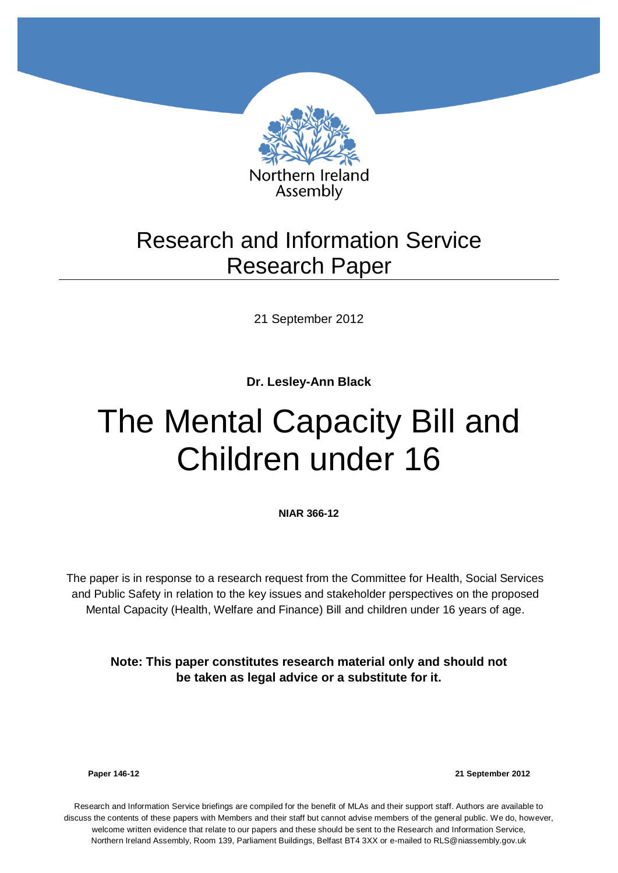

## Research and Information Service Research Paper

21 September 2012

**Dr. Lesley-Ann Black** 

# The Mental Capacity Bill and Children under 16

**NIAR 366-12**

The paper is in response to a research request from the Committee for Health, Social Services and Public Safety in relation to the key issues and stakeholder perspectives on the proposed Mental Capacity (Health, Welfare and Finance) Bill and children under 16 years of age.

**Note: This paper constitutes research material only and should not be taken as legal advice or a substitute for it.**

**Paper 146-12 21 September 2012**

Research and Information Service briefings are compiled for the benefit of MLAs and their support staff. Authors are available to discuss the contents of these papers with Members and their staff but cannot advise members of the general public. We do, however, welcome written evidence that relate to our papers and these should be sent to the Research and Information Service, Northern Ireland Assembly, Room 139, Parliament Buildings, Belfast BT4 3XX or e-mailed to RLS@niassembly.gov.uk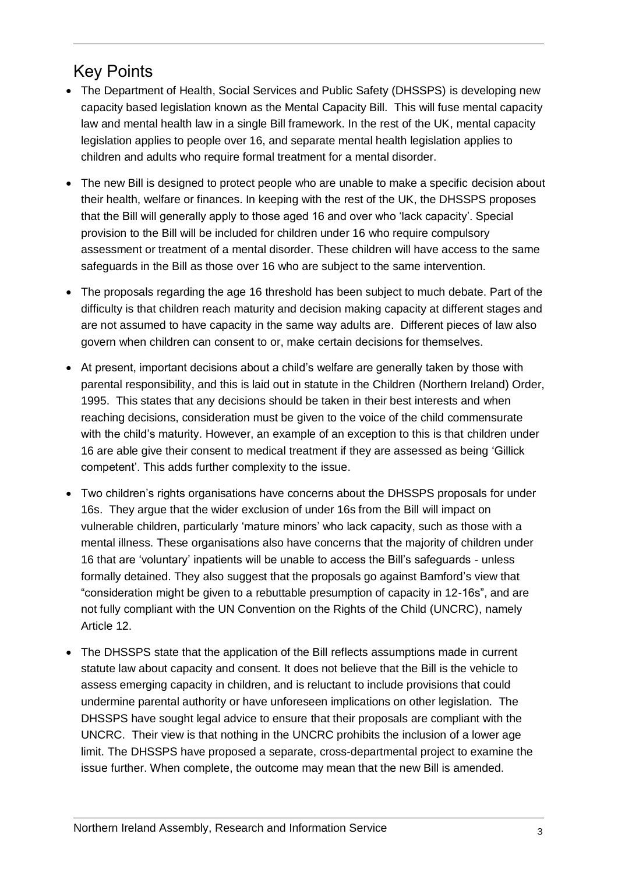### <span id="page-2-0"></span>Key Points

- The Department of Health, Social Services and Public Safety (DHSSPS) is developing new capacity based legislation known as the Mental Capacity Bill. This will fuse mental capacity law and mental health law in a single Bill framework. In the rest of the UK, mental capacity legislation applies to people over 16, and separate mental health legislation applies to children and adults who require formal treatment for a mental disorder.
- The new Bill is designed to protect people who are unable to make a specific decision about their health, welfare or finances. In keeping with the rest of the UK, the DHSSPS proposes that the Bill will generally apply to those aged 16 and over who 'lack capacity'. Special provision to the Bill will be included for children under 16 who require compulsory assessment or treatment of a mental disorder. These children will have access to the same safeguards in the Bill as those over 16 who are subject to the same intervention.
- The proposals regarding the age 16 threshold has been subject to much debate. Part of the difficulty is that children reach maturity and decision making capacity at different stages and are not assumed to have capacity in the same way adults are. Different pieces of law also govern when children can consent to or, make certain decisions for themselves.
- At present, important decisions about a child's welfare are generally taken by those with parental responsibility, and this is laid out in statute in the Children (Northern Ireland) Order, 1995. This states that any decisions should be taken in their best interests and when reaching decisions, consideration must be given to the voice of the child commensurate with the child's maturity. However, an example of an exception to this is that children under 16 are able give their consent to medical treatment if they are assessed as being 'Gillick competent'. This adds further complexity to the issue.
- Two children's rights organisations have concerns about the DHSSPS proposals for under 16s. They argue that the wider exclusion of under 16s from the Bill will impact on vulnerable children, particularly 'mature minors' who lack capacity, such as those with a mental illness. These organisations also have concerns that the majority of children under 16 that are 'voluntary' inpatients will be unable to access the Bill's safeguards - unless formally detained. They also suggest that the proposals go against Bamford's view that "consideration might be given to a rebuttable presumption of capacity in 12-16s", and are not fully compliant with the UN Convention on the Rights of the Child (UNCRC), namely Article 12.
- The DHSSPS state that the application of the Bill reflects assumptions made in current statute law about capacity and consent. It does not believe that the Bill is the vehicle to assess emerging capacity in children, and is reluctant to include provisions that could undermine parental authority or have unforeseen implications on other legislation. The DHSSPS have sought legal advice to ensure that their proposals are compliant with the UNCRC. Their view is that nothing in the UNCRC prohibits the inclusion of a lower age limit. The DHSSPS have proposed a separate, cross-departmental project to examine the issue further. When complete, the outcome may mean that the new Bill is amended.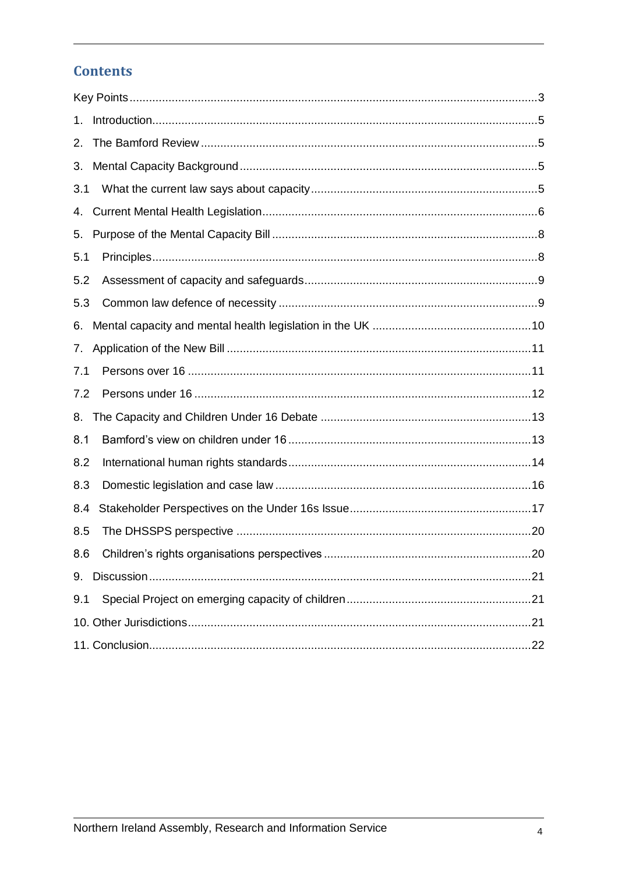### **Contents**

| 1.  |  |  |  |  |
|-----|--|--|--|--|
| 2.  |  |  |  |  |
| 3.  |  |  |  |  |
| 3.1 |  |  |  |  |
| 4.  |  |  |  |  |
| 5.  |  |  |  |  |
| 5.1 |  |  |  |  |
| 5.2 |  |  |  |  |
| 5.3 |  |  |  |  |
| 6.  |  |  |  |  |
| 7.  |  |  |  |  |
| 7.1 |  |  |  |  |
| 7.2 |  |  |  |  |
| 8.  |  |  |  |  |
| 8.1 |  |  |  |  |
| 8.2 |  |  |  |  |
| 8.3 |  |  |  |  |
| 8.4 |  |  |  |  |
| 8.5 |  |  |  |  |
| 8.6 |  |  |  |  |
| 9.  |  |  |  |  |
| 9.1 |  |  |  |  |
|     |  |  |  |  |
|     |  |  |  |  |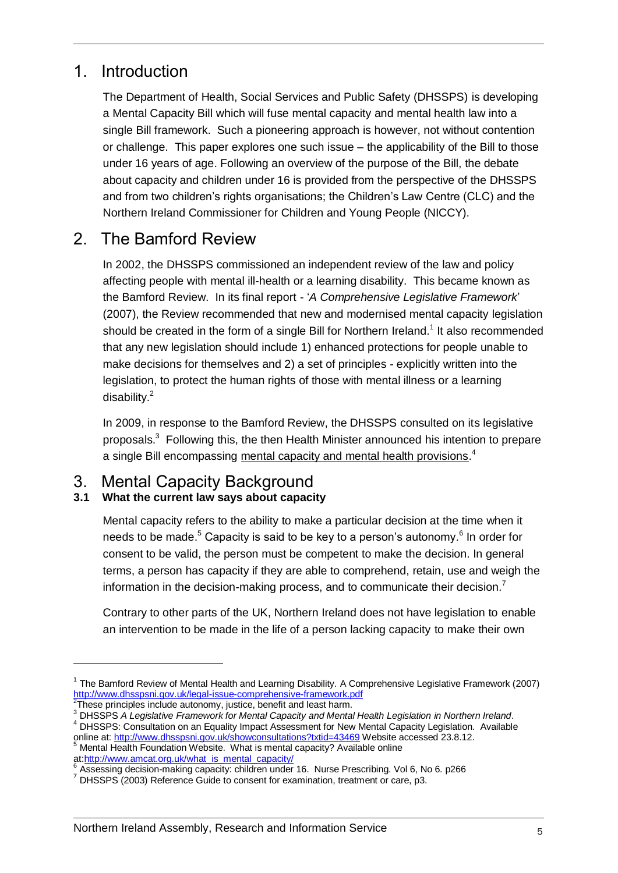### <span id="page-4-0"></span>1. Introduction

The Department of Health, Social Services and Public Safety (DHSSPS) is developing a Mental Capacity Bill which will fuse mental capacity and mental health law into a single Bill framework. Such a pioneering approach is however, not without contention or challenge. This paper explores one such issue – the applicability of the Bill to those under 16 years of age. Following an overview of the purpose of the Bill, the debate about capacity and children under 16 is provided from the perspective of the DHSSPS and from two children's rights organisations; the Children's Law Centre (CLC) and the Northern Ireland Commissioner for Children and Young People (NICCY).

### <span id="page-4-1"></span>2. The Bamford Review

In 2002, the DHSSPS commissioned an independent review of the law and policy affecting people with mental ill-health or a learning disability. This became known as the Bamford Review. In its final report - '*A Comprehensive Legislative Framework*' (2007), the Review recommended that new and modernised mental capacity legislation should be created in the form of a single Bill for Northern Ireland.<sup>1</sup> It also recommended that any new legislation should include 1) enhanced protections for people unable to make decisions for themselves and 2) a set of principles - explicitly written into the legislation, to protect the human rights of those with mental illness or a learning disability.<sup>2</sup>

In 2009, in response to the Bamford Review, the DHSSPS consulted on its legislative proposals.<sup>3</sup> Following this, the then Health Minister announced his intention to prepare a single Bill encompassing mental capacity and mental health provisions.<sup>4</sup>

### <span id="page-4-2"></span>3. Mental Capacity Background

#### <span id="page-4-3"></span>**3.1 What the current law says about capacity**

Mental capacity refers to the ability to make a particular decision at the time when it needs to be made.<sup>5</sup> Capacity is said to be key to a person's autonomy.<sup>6</sup> In order for consent to be valid, the person must be competent to make the decision. In general terms, a person has capacity if they are able to comprehend, retain, use and weigh the information in the decision-making process, and to communicate their decision.<sup>7</sup>

Contrary to other parts of the UK, Northern Ireland does not have legislation to enable an intervention to be made in the life of a person lacking capacity to make their own

<sup>&</sup>lt;sup>1</sup> The Bamford Review of Mental Health and Learning Disability. A Comprehensive Legislative Framework (2007) <http://www.dhsspsni.gov.uk/legal-issue-comprehensive-framework.pdf><br><sup>2</sup>These principles include outcomy, justice, benefit and legat herm

These principles include autonomy, justice, benefit and least harm.

<sup>3</sup> DHSSPS *A Legislative Framework for Mental Capacity and Mental Health Legislation in Northern Ireland*. <sup>4</sup> DHSSPS: Consultation on an Equality Impact Assessment for New Mental Capacity Legislation. Available online at: http://www.dhsspsni.gov.uk/showconsultations?txtid=43469 Website accessed 23.8.12.

<sup>&</sup>lt;sup>5</sup> Mental Health Foundation Website. What is mental capacity? Available online at[:http://www.amcat.org.uk/what\\_is\\_mental\\_capacity/](http://www.amcat.org.uk/what_is_mental_capacity/)

<sup>6</sup> Assessing decision-making capacity: children under 16. Nurse Prescribing. Vol 6, No 6. p266

<sup>7</sup> DHSSPS (2003) Reference Guide to consent for examination, treatment or care, p3.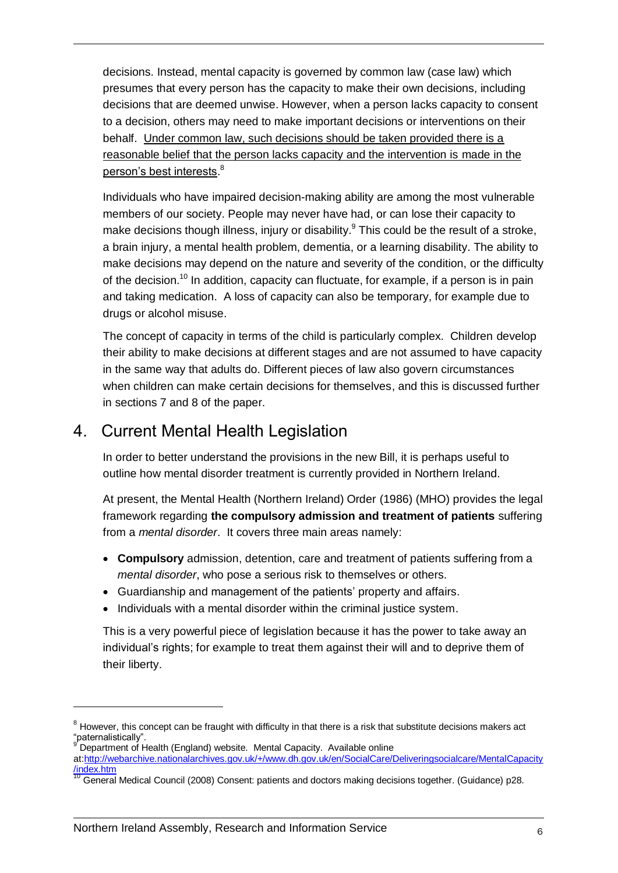decisions. Instead, mental capacity is governed by common law (case law) which presumes that every person has the capacity to make their own decisions, including decisions that are deemed unwise. However, when a person lacks capacity to consent to a decision, others may need to make important decisions or interventions on their behalf. Under common law, such decisions should be taken provided there is a reasonable belief that the person lacks capacity and the intervention is made in the person's best interests.<sup>8</sup>

Individuals who have impaired decision-making ability are among the most vulnerable members of our society. People may never have had, or can lose their capacity to make decisions though illness, injury or disability.<sup>9</sup> This could be the result of a stroke, a brain injury, a mental health problem, dementia, or a learning disability. The ability to make decisions may depend on the nature and severity of the condition, or the difficulty of the decision.<sup>10</sup> In addition, capacity can fluctuate, for example, if a person is in pain and taking medication. A loss of capacity can also be temporary, for example due to drugs or alcohol misuse.

The concept of capacity in terms of the child is particularly complex. Children develop their ability to make decisions at different stages and are not assumed to have capacity in the same way that adults do. Different pieces of law also govern circumstances when children can make certain decisions for themselves, and this is discussed further in sections 7 and 8 of the paper.

### <span id="page-5-0"></span>4. Current Mental Health Legislation

In order to better understand the provisions in the new Bill, it is perhaps useful to outline how mental disorder treatment is currently provided in Northern Ireland.

At present, the Mental Health (Northern Ireland) Order (1986) (MHO) provides the legal framework regarding **the compulsory admission and treatment of patients** suffering from a *mental disorder*. It covers three main areas namely:

- **Compulsory** admission, detention, care and treatment of patients suffering from a *mental disorder*, who pose a serious risk to themselves or others.
- Guardianship and management of the patients' property and affairs.
- Individuals with a mental disorder within the criminal justice system.

This is a very powerful piece of legislation because it has the power to take away an individual's rights; for example to treat them against their will and to deprive them of their liberty.

 $8$  However, this concept can be fraught with difficulty in that there is a risk that substitute decisions makers act "paternalistically".

<sup>&</sup>lt;sup>9</sup> Department of Health (England) website. Mental Capacity. Available online

at:http://webarchive.nationalarchives.gov.uk/+/www.dh.gov.uk/en/SocialCare/Deliveringsocialcare/MentalCapacity /index.htm

<sup>11</sup> General Medical Council (2008) Consent: patients and doctors making decisions together. (Guidance) p28.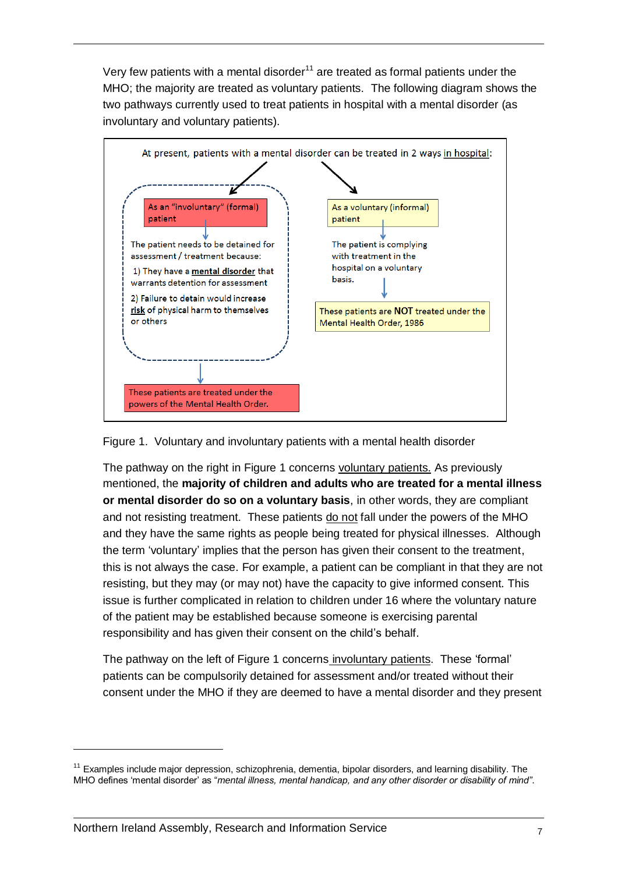Very few patients with a mental disorder<sup>11</sup> are treated as formal patients under the MHO; the majority are treated as voluntary patients. The following diagram shows the two pathways currently used to treat patients in hospital with a mental disorder (as involuntary and voluntary patients).



#### Figure 1. Voluntary and involuntary patients with a mental health disorder

The pathway on the right in Figure 1 concerns voluntary patients. As previously mentioned, the **majority of children and adults who are treated for a mental illness or mental disorder do so on a voluntary basis**, in other words, they are compliant and not resisting treatment. These patients do not fall under the powers of the MHO and they have the same rights as people being treated for physical illnesses. Although the term 'voluntary' implies that the person has given their consent to the treatment, this is not always the case. For example, a patient can be compliant in that they are not resisting, but they may (or may not) have the capacity to give informed consent. This issue is further complicated in relation to children under 16 where the voluntary nature of the patient may be established because someone is exercising parental responsibility and has given their consent on the child's behalf.

The pathway on the left of Figure 1 concerns involuntary patients. These 'formal' patients can be compulsorily detained for assessment and/or treated without their consent under the MHO if they are deemed to have a mental disorder and they present

 $11$  Examples include major depression, schizophrenia, dementia, bipolar disorders, and learning disability. The MHO defines 'mental disorder' as "*mental illness, mental handicap, and any other disorder or disability of mind"*.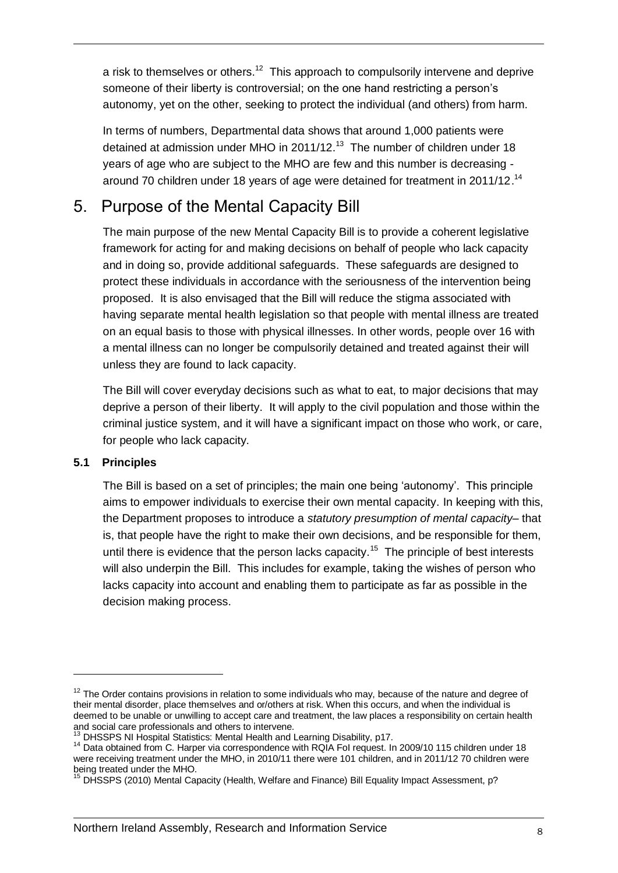a risk to themselves or others.<sup>12</sup> This approach to compulsorily intervene and deprive someone of their liberty is controversial; on the one hand restricting a person's autonomy, yet on the other, seeking to protect the individual (and others) from harm.

In terms of numbers, Departmental data shows that around 1,000 patients were detained at admission under MHO in 2011/12.<sup>13</sup> The number of children under 18 years of age who are subject to the MHO are few and this number is decreasing around 70 children under 18 years of age were detained for treatment in 2011/12.<sup>14</sup>

### <span id="page-7-0"></span>5. Purpose of the Mental Capacity Bill

The main purpose of the new Mental Capacity Bill is to provide a coherent legislative framework for acting for and making decisions on behalf of people who lack capacity and in doing so, provide additional safeguards. These safeguards are designed to protect these individuals in accordance with the seriousness of the intervention being proposed. It is also envisaged that the Bill will reduce the stigma associated with having separate mental health legislation so that people with mental illness are treated on an equal basis to those with physical illnesses. In other words, people over 16 with a mental illness can no longer be compulsorily detained and treated against their will unless they are found to lack capacity.

The Bill will cover everyday decisions such as what to eat, to major decisions that may deprive a person of their liberty. It will apply to the civil population and those within the criminal justice system, and it will have a significant impact on those who work, or care, for people who lack capacity.

#### <span id="page-7-1"></span>**5.1 Principles**

1

The Bill is based on a set of principles; the main one being 'autonomy'. This principle aims to empower individuals to exercise their own mental capacity. In keeping with this, the Department proposes to introduce a *statutory presumption of mental capacity*– that is, that people have the right to make their own decisions, and be responsible for them, until there is evidence that the person lacks capacity.<sup>15</sup> The principle of best interests will also underpin the Bill. This includes for example, taking the wishes of person who lacks capacity into account and enabling them to participate as far as possible in the decision making process.

 $12$  The Order contains provisions in relation to some individuals who may, because of the nature and degree of their mental disorder, place themselves and or/others at risk. When this occurs, and when the individual is deemed to be unable or unwilling to accept care and treatment, the law places a responsibility on certain health and social care professionals and others to intervene.

<sup>&</sup>lt;sup>13</sup> DHSSPS NI Hospital Statistics: Mental Health and Learning Disability, p17.

<sup>&</sup>lt;sup>14</sup> Data obtained from C. Harper via correspondence with RQIA FoI request. In 2009/10 115 children under 18 were receiving treatment under the MHO, in 2010/11 there were 101 children, and in 2011/12 70 children were being treated under the MHO.

<sup>&</sup>lt;sup>15</sup> DHSSPS (2010) Mental Capacity (Health, Welfare and Finance) Bill Equality Impact Assessment, p?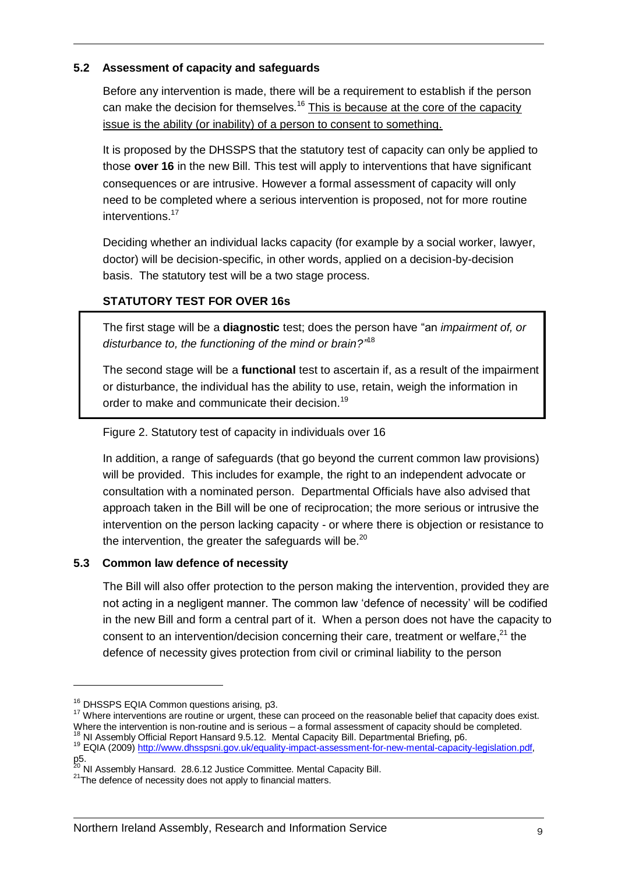#### <span id="page-8-0"></span>**5.2 Assessment of capacity and safeguards**

Before any intervention is made, there will be a requirement to establish if the person can make the decision for themselves.<sup>16</sup> This is because at the core of the capacity issue is the ability (or inability) of a person to consent to something.

It is proposed by the DHSSPS that the statutory test of capacity can only be applied to those **over 16** in the new Bill. This test will apply to interventions that have significant consequences or are intrusive. However a formal assessment of capacity will only need to be completed where a serious intervention is proposed, not for more routine interventions.<sup>17</sup>

Deciding whether an individual lacks capacity (for example by a social worker, lawyer, doctor) will be decision-specific, in other words, applied on a decision-by-decision basis. The statutory test will be a two stage process.

#### **STATUTORY TEST FOR OVER 16s**

The first stage will be a **diagnostic** test; does the person have "an *impairment of, or disturbance to, the functioning of the mind or brain?"* 18

The second stage will be a **functional** test to ascertain if, as a result of the impairment or disturbance, the individual has the ability to use, retain, weigh the information in order to make and communicate their decision.<sup>19</sup>

Figure 2. Statutory test of capacity in individuals over 16

In addition, a range of safeguards (that go beyond the current common law provisions) will be provided. This includes for example, the right to an independent advocate or consultation with a nominated person. Departmental Officials have also advised that approach taken in the Bill will be one of reciprocation; the more serious or intrusive the intervention on the person lacking capacity - or where there is objection or resistance to the intervention, the greater the safeguards will be.<sup>20</sup>

#### <span id="page-8-1"></span>**5.3 Common law defence of necessity**

The Bill will also offer protection to the person making the intervention, provided they are not acting in a negligent manner. The common law 'defence of necessity' will be codified in the new Bill and form a central part of it. When a person does not have the capacity to consent to an intervention/decision concerning their care, treatment or welfare, $^{21}$  the defence of necessity gives protection from civil or criminal liability to the person

-

<sup>17</sup> Where interventions are routine or urgent, these can proceed on the reasonable belief that capacity does exist. Where the intervention is non-routine and is serious – a formal assessment of capacity should be completed.

 $18$  NI Assembly Official Report Hansard 9.5.12. Mental Capacity Bill. Departmental Briefing, p6.

<sup>&</sup>lt;sup>16</sup> DHSSPS EQIA Common questions arising, p3.

<sup>19</sup> EQIA (2009[\) http://www.dhsspsni.gov.uk/equality-impact-assessment-for-new-mental-capacity-legislation.pdf,](http://www.dhsspsni.gov.uk/equality-impact-assessment-for-new-mental-capacity-legislation.pdf) p5.

<sup>&</sup>lt;sup>20</sup> NI Assembly Hansard. 28.6.12 Justice Committee. Mental Capacity Bill.

<sup>&</sup>lt;sup>21</sup>The defence of necessity does not apply to financial matters.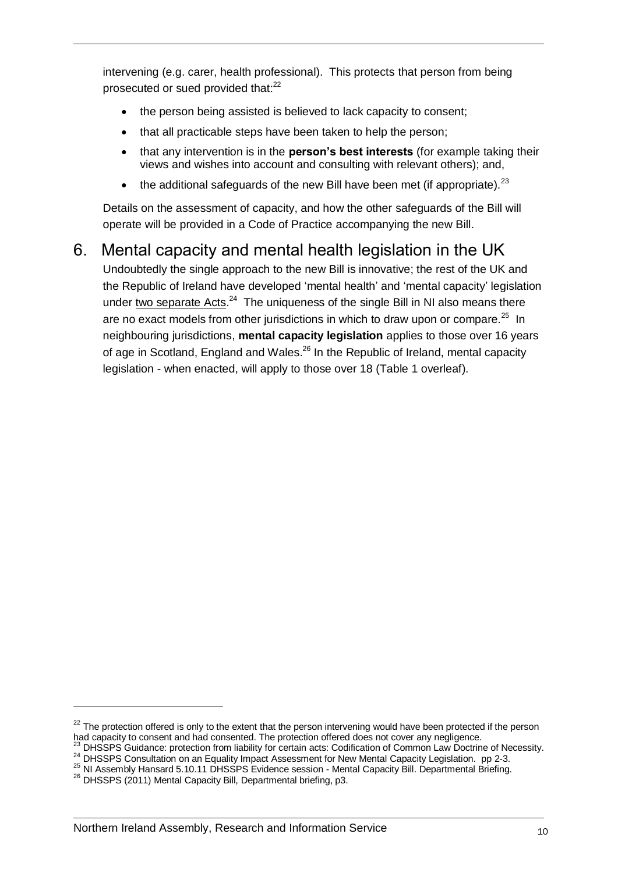intervening (e.g. carer, health professional). This protects that person from being prosecuted or sued provided that:<sup>22</sup>

- the person being assisted is believed to lack capacity to consent;
- that all practicable steps have been taken to help the person;
- that any intervention is in the **person's best interests** (for example taking their views and wishes into account and consulting with relevant others); and,
- the additional safeguards of the new Bill have been met (if appropriate).  $23$

Details on the assessment of capacity, and how the other safeguards of the Bill will operate will be provided in a Code of Practice accompanying the new Bill.

### <span id="page-9-0"></span>6. Mental capacity and mental health legislation in the UK

Undoubtedly the single approach to the new Bill is innovative; the rest of the UK and the Republic of Ireland have developed 'mental health' and 'mental capacity' legislation under two separate  $Acts.<sup>24</sup>$  The uniqueness of the single Bill in NI also means there are no exact models from other jurisdictions in which to draw upon or compare.<sup>25</sup> In neighbouring jurisdictions, **mental capacity legislation** applies to those over 16 years of age in Scotland, England and Wales.<sup>26</sup> In the Republic of Ireland, mental capacity legislation - when enacted, will apply to those over 18 (Table 1 overleaf).

 $22$  The protection offered is only to the extent that the person intervening would have been protected if the person had capacity to consent and had consented. The protection offered does not cover any negligence.

<sup>23</sup> DHSSPS Guidance: protection from liability for certain acts: Codification of Common Law Doctrine of Necessity.

<sup>24</sup> DHSSPS Consultation on an Equality Impact Assessment for New Mental Capacity Legislation. pp 2-3.

<sup>25</sup> NI Assembly Hansard 5.10.11 DHSSPS Evidence session - Mental Capacity Bill. Departmental Briefing.

<sup>26</sup> DHSSPS (2011) Mental Capacity Bill, Departmental briefing, p3.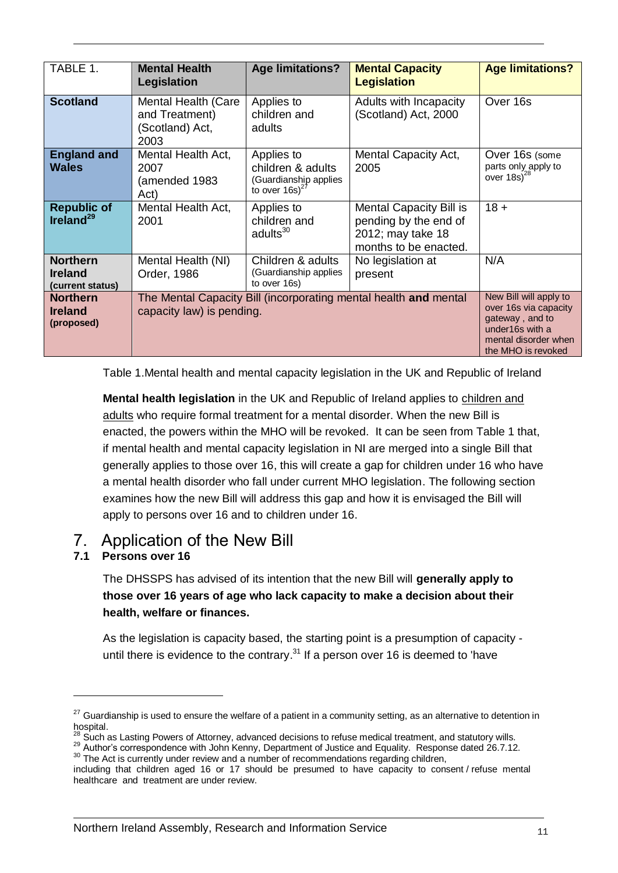| TABLE 1.                                              | <b>Mental Health</b><br>Legislation                                                           | <b>Age limitations?</b>                                                                                                             | <b>Mental Capacity</b><br><b>Legislation</b>                                                          | <b>Age limitations?</b>                                   |
|-------------------------------------------------------|-----------------------------------------------------------------------------------------------|-------------------------------------------------------------------------------------------------------------------------------------|-------------------------------------------------------------------------------------------------------|-----------------------------------------------------------|
| <b>Scotland</b>                                       | Mental Health (Care<br>and Treatment)<br>(Scotland) Act,<br>2003                              | Applies to<br>children and<br>adults                                                                                                | Adults with Incapacity<br>(Scotland) Act, 2000                                                        | Over 16s                                                  |
| <b>England and</b><br><b>Wales</b>                    | Mental Health Act,<br>2007<br>(amended 1983<br>Act)                                           | Applies to<br>children & adults<br>(Guardianship applies<br>to over $16s$ <sup>27</sup>                                             | <b>Mental Capacity Act,</b><br>2005                                                                   | Over 16s (some<br>parts only apply to<br>over $18s)^{28}$ |
| <b>Republic of</b><br>Ireland <sup>29</sup>           | Mental Health Act,<br>2001                                                                    | Applies to<br>children and<br>adults <sup>30</sup>                                                                                  | <b>Mental Capacity Bill is</b><br>pending by the end of<br>2012; may take 18<br>months to be enacted. | $18 +$                                                    |
| <b>Northern</b><br><b>Ireland</b><br>(current status) | Mental Health (NI)<br>Order, 1986                                                             | Children & adults<br>(Guardianship applies<br>to over 16s)                                                                          | No legislation at<br>present                                                                          | N/A                                                       |
| <b>Northern</b><br><b>Ireland</b><br>(proposed)       | The Mental Capacity Bill (incorporating mental health and mental<br>capacity law) is pending. | New Bill will apply to<br>over 16s via capacity<br>gateway, and to<br>under16s with a<br>mental disorder when<br>the MHO is revoked |                                                                                                       |                                                           |

Table 1.Mental health and mental capacity legislation in the UK and Republic of Ireland

**Mental health legislation** in the UK and Republic of Ireland applies to children and adults who require formal treatment for a mental disorder. When the new Bill is enacted, the powers within the MHO will be revoked. It can be seen from Table 1 that, if mental health and mental capacity legislation in NI are merged into a single Bill that generally applies to those over 16, this will create a gap for children under 16 who have a mental health disorder who fall under current MHO legislation. The following section examines how the new Bill will address this gap and how it is envisaged the Bill will apply to persons over 16 and to children under 16.

### <span id="page-10-0"></span>7. Application of the New Bill

#### <span id="page-10-1"></span>**7.1 Persons over 16**

1

The DHSSPS has advised of its intention that the new Bill will **generally apply to those over 16 years of age who lack capacity to make a decision about their health, welfare or finances.** 

As the legislation is capacity based, the starting point is a presumption of capacity until there is evidence to the contrary.<sup>31</sup> If a person over 16 is deemed to 'have

 $27$  Guardianship is used to ensure the welfare of a patient in a community setting, as an alternative to detention in hospital.

 $^{28}$  Such as Lasting Powers of Attorney, advanced decisions to refuse medical treatment, and statutory wills.

<sup>&</sup>lt;sup>29</sup> Author's correspondence with John Kenny, Department of Justice and Equality. Response dated 26.7.12.

<sup>&</sup>lt;sup>30</sup> The Act is currently under review and a number of recommendations regarding children, including that children aged 16 or 17 should be presumed to have capacity to consent / refuse mental healthcare and treatment are under review.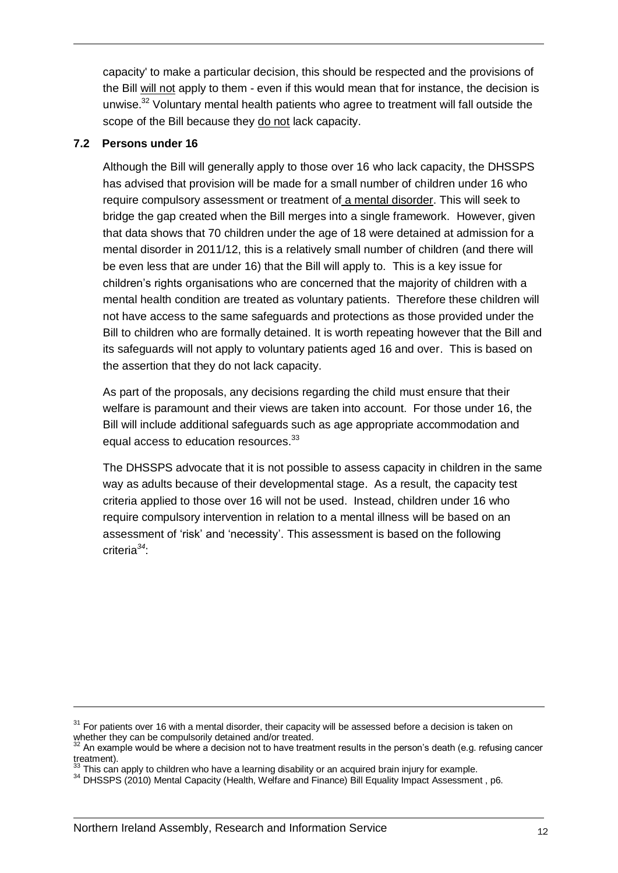capacity' to make a particular decision, this should be respected and the provisions of the Bill will not apply to them - even if this would mean that for instance, the decision is unwise.<sup>32</sup> Voluntary mental health patients who agree to treatment will fall outside the scope of the Bill because they do not lack capacity.

#### <span id="page-11-0"></span>**7.2 Persons under 16**

1

Although the Bill will generally apply to those over 16 who lack capacity, the DHSSPS has advised that provision will be made for a small number of children under 16 who require compulsory assessment or treatment of a mental disorder. This will seek to bridge the gap created when the Bill merges into a single framework. However, given that data shows that 70 children under the age of 18 were detained at admission for a mental disorder in 2011/12, this is a relatively small number of children (and there will be even less that are under 16) that the Bill will apply to. This is a key issue for children's rights organisations who are concerned that the majority of children with a mental health condition are treated as voluntary patients. Therefore these children will not have access to the same safeguards and protections as those provided under the Bill to children who are formally detained. It is worth repeating however that the Bill and its safeguards will not apply to voluntary patients aged 16 and over. This is based on the assertion that they do not lack capacity.

As part of the proposals, any decisions regarding the child must ensure that their welfare is paramount and their views are taken into account. For those under 16, the Bill will include additional safeguards such as age appropriate accommodation and equal access to education resources.<sup>33</sup>

The DHSSPS advocate that it is not possible to assess capacity in children in the same way as adults because of their developmental stage. As a result, the capacity test criteria applied to those over 16 will not be used. Instead, children under 16 who require compulsory intervention in relation to a mental illness will be based on an assessment of 'risk' and 'necessity'. This assessment is based on the following criteria*<sup>34</sup>*:

 $31$  For patients over 16 with a mental disorder, their capacity will be assessed before a decision is taken on whether they can be compulsorily detained and/or treated.

<sup>32</sup> An example would be where a decision not to have treatment results in the person's death (e.g. refusing cancer treatment).

This can apply to children who have a learning disability or an acquired brain injury for example.

<sup>34</sup> DHSSPS (2010) Mental Capacity (Health, Welfare and Finance) Bill Equality Impact Assessment , p6.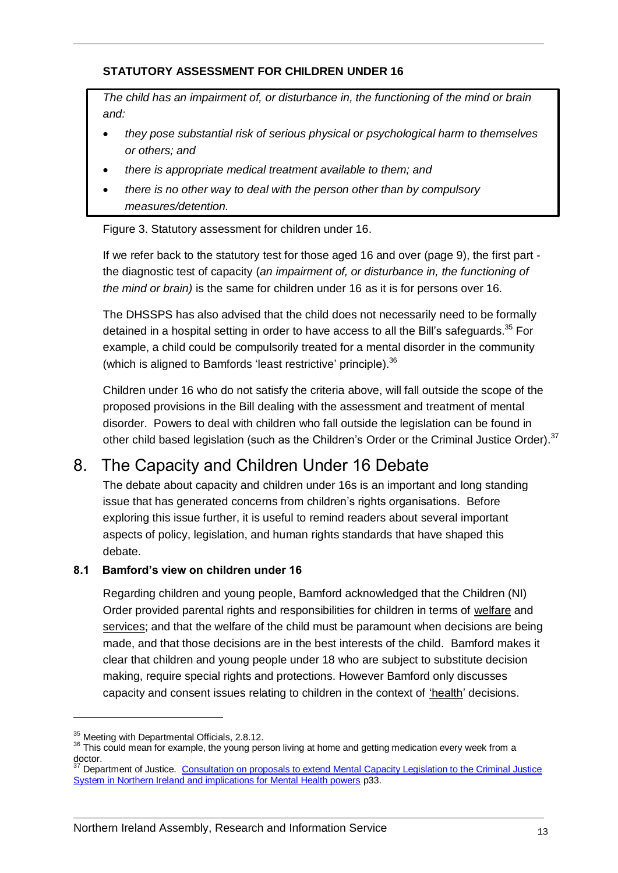#### **STATUTORY ASSESSMENT FOR CHILDREN UNDER 16**

*The child has an impairment of, or disturbance in, the functioning of the mind or brain and:* 

- *they pose substantial risk of serious physical or psychological harm to themselves or others; and*
- *there is appropriate medical treatment available to them; and*
- *there is no other way to deal with the person other than by compulsory measures/detention.*

Figure 3. Statutory assessment for children under 16.

If we refer back to the statutory test for those aged 16 and over (page 9), the first part the diagnostic test of capacity (*an impairment of, or disturbance in, the functioning of the mind or brain)* is the same for children under 16 as it is for persons over 16.

The DHSSPS has also advised that the child does not necessarily need to be formally detained in a hospital setting in order to have access to all the Bill's safeguards.<sup>35</sup> For example, a child could be compulsorily treated for a mental disorder in the community (which is aligned to Bamfords 'least restrictive' principle).<sup>36</sup>

Children under 16 who do not satisfy the criteria above, will fall outside the scope of the proposed provisions in the Bill dealing with the assessment and treatment of mental disorder. Powers to deal with children who fall outside the legislation can be found in other child based legislation (such as the Children's Order or the Criminal Justice Order).<sup>37</sup>

### <span id="page-12-0"></span>8. The Capacity and Children Under 16 Debate

The debate about capacity and children under 16s is an important and long standing issue that has generated concerns from children's rights organisations. Before exploring this issue further, it is useful to remind readers about several important aspects of policy, legislation, and human rights standards that have shaped this debate.

#### <span id="page-12-1"></span>**8.1 Bamford's view on children under 16**

Regarding children and young people, Bamford acknowledged that the Children (NI) Order provided parental rights and responsibilities for children in terms of welfare and services; and that the welfare of the child must be paramount when decisions are being made, and that those decisions are in the best interests of the child. Bamford makes it clear that children and young people under 18 who are subject to substitute decision making, require special rights and protections. However Bamford only discusses capacity and consent issues relating to children in the context of 'health' decisions.

<sup>&</sup>lt;sup>35</sup> Meeting with Departmental Officials, 2.8.12.

<sup>&</sup>lt;sup>36</sup> This could mean for example, the young person living at home and getting medication every week from a doctor.

Department of Justice. Consultation on proposals to extend Mental Capacity Legislation to the Criminal Justice [System in Northern Ireland and implications for Mental Health powers](http://www.dojni.gov.uk/index/public-consultations/current-consultations/consultation-paper-on-proposals-to-extend-mental-health-capcity.pdf) p33.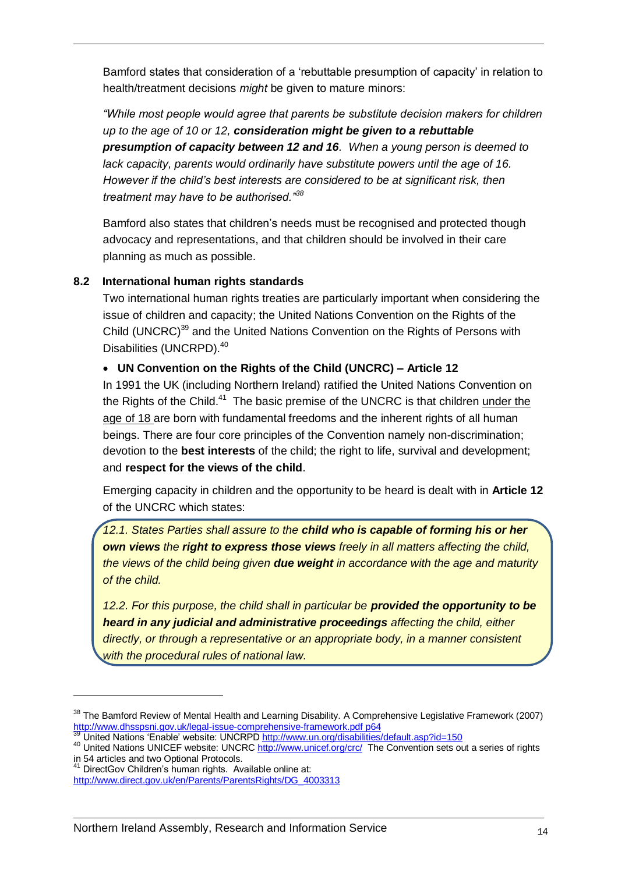Bamford states that consideration of a 'rebuttable presumption of capacity' in relation to health/treatment decisions *might* be given to mature minors:

*"While most people would agree that parents be substitute decision makers for children up to the age of 10 or 12, consideration might be given to a rebuttable presumption of capacity between 12 and 16. When a young person is deemed to lack capacity, parents would ordinarily have substitute powers until the age of 16. However if the child's best interests are considered to be at significant risk, then treatment may have to be authorised."<sup>38</sup>*

Bamford also states that children's needs must be recognised and protected though advocacy and representations, and that children should be involved in their care planning as much as possible.

#### <span id="page-13-0"></span>**8.2 International human rights standards**

Two international human rights treaties are particularly important when considering the issue of children and capacity; the United Nations Convention on the Rights of the Child (UNCRC)<sup>39</sup> and the United Nations Convention on the Rights of Persons with Disabilities (UNCRPD).<sup>40</sup>

#### **UN Convention on the Rights of the Child (UNCRC) – Article 12**

In 1991 the UK (including Northern Ireland) ratified the United Nations Convention on the Rights of the Child.<sup>41</sup> The basic premise of the UNCRC is that children under the age of 18 are born with fundamental freedoms and the inherent rights of all human beings. There are four core principles of the Convention namely non-discrimination; devotion to the **best interests** of the child; the right to life, survival and development; and **respect for the views of the child**.

Emerging capacity in children and the opportunity to be heard is dealt with in **Article 12**  of the UNCRC which states:

*12.1. States Parties shall assure to the child who is capable of forming his or her own views the right to express those views freely in all matters affecting the child, the views of the child being given due weight in accordance with the age and maturity of the child.* 

*12.2. For this purpose, the child shall in particular be provided the opportunity to be heard in any judicial and administrative proceedings affecting the child, either directly, or through a representative or an appropriate body, in a manner consistent with the procedural rules of national law.* 

<sup>&</sup>lt;sup>38</sup> The Bamford Review of Mental Health and Learning Disability. A Comprehensive Legislative Framework (2007) <http://www.dhsspsni.gov.uk/legal-issue-comprehensive-framework.pdf> p64

United Nations 'Enable' website: UNCRP[D http://www.un.org/disabilities/default.asp?id=150](http://www.un.org/disabilities/default.asp?id=150)

<sup>40</sup> United Nations UNICEF website: UNCRC<http://www.unicef.org/crc/>The Convention sets out a series of rights in 54 articles and two Optional Protocols.

<sup>&</sup>lt;sup>41</sup> DirectGov Children's human rights. Available online at:

[http://www.direct.gov.uk/en/Parents/ParentsRights/DG\\_4003313](http://www.direct.gov.uk/en/Parents/ParentsRights/DG_4003313)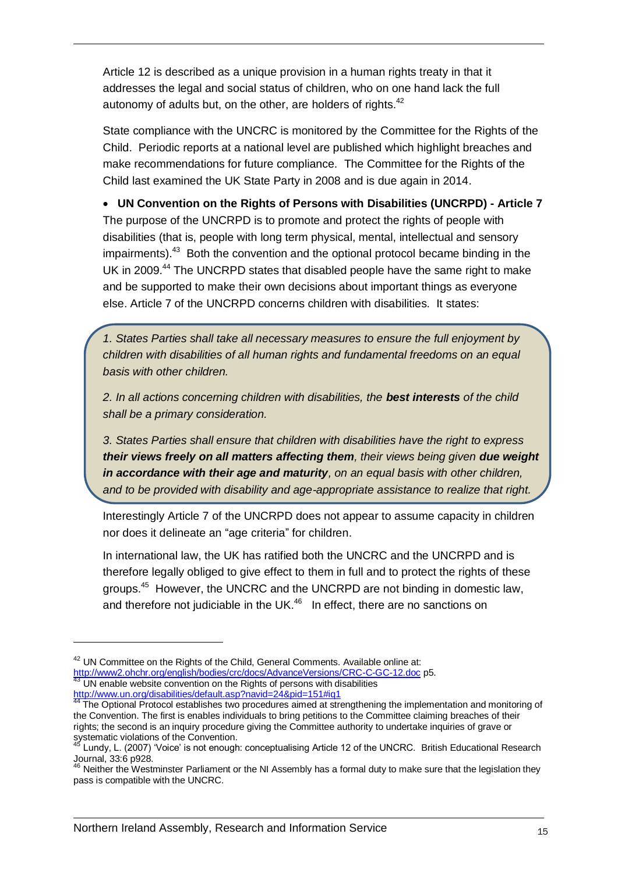Article 12 is described as a unique provision in a human rights treaty in that it addresses the legal and social status of children, who on one hand lack the full autonomy of adults but, on the other, are holders of rights. $42$ 

State compliance with the UNCRC is monitored by the Committee for the Rights of the Child. Periodic reports at a national level are published which highlight breaches and make recommendations for future compliance. The Committee for the Rights of the Child last examined the UK State Party in 2008 and is due again in 2014.

 **UN Convention on the Rights of Persons with Disabilities (UNCRPD) - Article 7** The purpose of the UNCRPD is to promote and protect the rights of people with disabilities (that is, people with long term physical, mental, intellectual and sensory impairments).<sup>43</sup> Both the convention and the optional protocol became binding in the UK in 2009.<sup>44</sup> The UNCRPD states that disabled people have the same right to make and be supported to make their own decisions about important things as everyone else. Article 7 of the UNCRPD concerns children with disabilities. It states:

*1. States Parties shall take all necessary measures to ensure the full enjoyment by children with disabilities of all human rights and fundamental freedoms on an equal basis with other children.* 

*2. In all actions concerning children with disabilities, the best interests of the child shall be a primary consideration.* 

*3. States Parties shall ensure that children with disabilities have the right to express their views freely on all matters affecting them, their views being given due weight in accordance with their age and maturity, on an equal basis with other children, and to be provided with disability and age-appropriate assistance to realize that right.* 

Interestingly Article 7 of the UNCRPD does not appear to assume capacity in children nor does it delineate an "age criteria" for children.

In international law, the UK has ratified both the UNCRC and the UNCRPD and is therefore legally obliged to give effect to them in full and to protect the rights of these groups.<sup>45</sup> However, the UNCRC and the UNCRPD are not binding in domestic law, and therefore not judiciable in the UK. $46$  In effect, there are no sanctions on

 $42$  UN Committee on the Rights of the Child, General Comments. Available online at: <http://www2.ohchr.org/english/bodies/crc/docs/AdvanceVersions/CRC-C-GC-12.doc> p5. UN enable website convention on the Rights of persons with disabilities <http://www.un.org/disabilities/default.asp?navid=24&pid=151#iq1>

<sup>&</sup>lt;sup>44</sup> The Optional Protocol establishes two procedures aimed at strengthening the implementation and monitoring of the Convention. The first is enables individuals to bring petitions to the Committee claiming breaches of their rights; the second is an inquiry procedure giving the Committee authority to undertake inquiries of grave or systematic violations of the Convention.

 $^{5}$  Lundy. L. (2007) 'Voice' is not enough: conceptualising Article 12 of the UNCRC. British Educational Research Journal, 33:6 p928.

 $46$  Neither the Westminster Parliament or the NI Assembly has a formal duty to make sure that the legislation they pass is compatible with the UNCRC.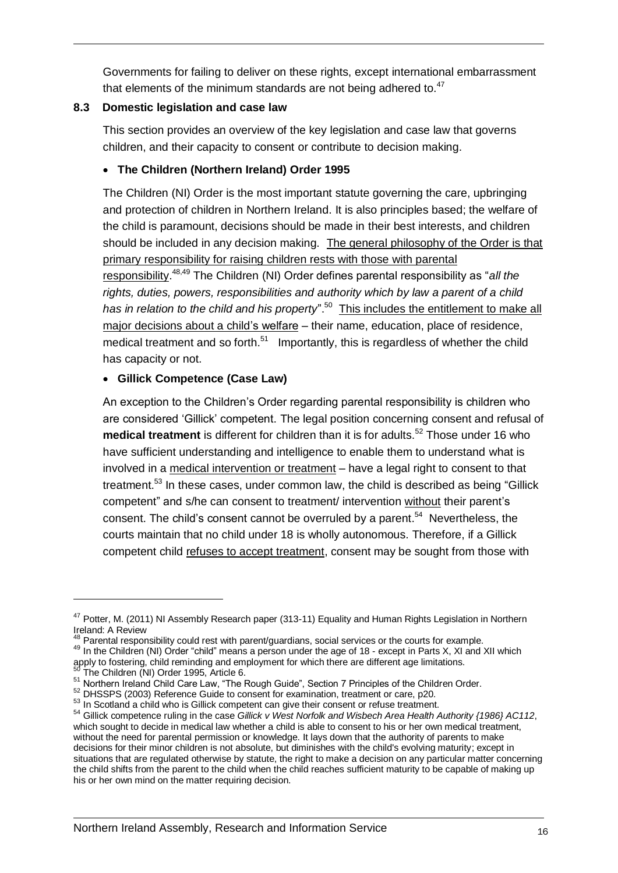Governments for failing to deliver on these rights, except international embarrassment that elements of the minimum standards are not being adhered to. $47$ 

#### <span id="page-15-0"></span>**8.3 Domestic legislation and case law**

This section provides an overview of the key legislation and case law that governs children, and their capacity to consent or contribute to decision making.

#### **The Children (Northern Ireland) Order 1995**

The Children (NI) Order is the most important statute governing the care, upbringing and protection of children in Northern Ireland. It is also principles based; the welfare of the child is paramount, decisions should be made in their best interests, and children should be included in any decision making. The general philosophy of the Order is that primary responsibility for raising children rests with those with parental responsibility. 48,49 The Children (NI) Order defines parental responsibility as "*all the rights, duties, powers, responsibilities and authority which by law a parent of a child*  has in relation to the child and his property".<sup>50</sup> This includes the entitlement to make all major decisions about a child's welfare – their name, education, place of residence, medical treatment and so forth. $51$  Importantly, this is regardless of whether the child has capacity or not.

#### **Gillick Competence (Case Law)**

An exception to the Children's Order regarding parental responsibility is children who are considered 'Gillick' competent. The legal position concerning consent and refusal of medical treatment is different for children than it is for adults.<sup>52</sup> Those under 16 who have sufficient understanding and intelligence to enable them to understand what is involved in a medical intervention or treatment – have a legal right to consent to that treatment.<sup>53</sup> In these cases, under common law, the child is described as being "Gillick competent" and s/he can consent to treatment/ intervention without their parent's consent. The child's consent cannot be overruled by a parent.<sup>54</sup> Nevertheless, the courts maintain that no child under 18 is wholly autonomous. Therefore, if a Gillick competent child refuses to accept treatment, consent may be sought from those with

<sup>&</sup>lt;sup>47</sup> Potter, M. (2011) NI Assembly Research paper (313-11) Equality and Human Rights Legislation in Northern Ireland: A Review

Parental responsibility could rest with parent/guardians, social services or the courts for example.

<sup>49</sup> In the Children (NI) Order "child" means a person under the age of 18 - except in Parts X, XI and XII which apply to fostering, child reminding and employment for which there are different age limitations.

<sup>&</sup>lt;sup>50</sup> The Children (NI) Order 1995, Article 6.

<sup>&</sup>lt;sup>51</sup> Northern Ireland Child Care Law, "The Rough Guide", Section 7 Principles of the Children Order.

<sup>52</sup> DHSSPS (2003) Reference Guide to consent for examination, treatment or care, p20.

<sup>53</sup> In Scotland a child who is Gillick competent can give their consent or refuse treatment.

<sup>54</sup> [Gillick competence](http://en.wikipedia.org/wiki/Gillick_competence) ruling in the case *Gillick v West Norfolk and Wisbech Area Health Authority {1986} AC112*, which sought to decide in medical law whether a child is able to consent to his or her own medical treatment, without the need for parental permission or knowledge. It lays down that the authority of parents to make decisions for their minor children is not absolute, but diminishes with the child's evolving maturity; except in situations that are regulated otherwise by statute, the right to make a decision on any particular matter concerning the child shifts from the parent to the child when the child reaches sufficient maturity to be capable of making up his or her own mind on the matter requiring decision.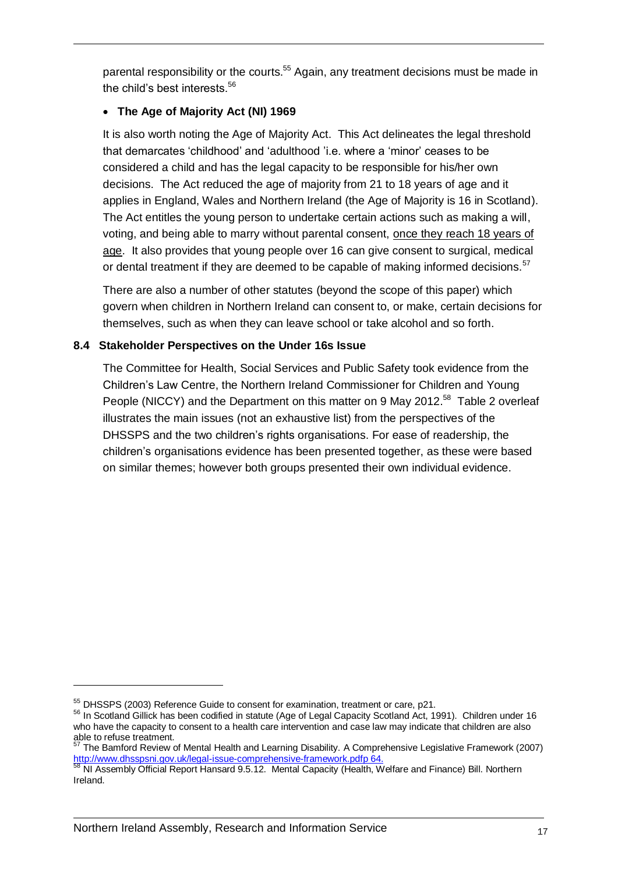parental responsibility or the courts.<sup>55</sup> Again, any treatment decisions must be made in the child's best interests.<sup>56</sup>

#### **The Age of Majority Act (NI) 1969**

It is also worth noting the Age of Majority Act. This Act delineates the legal threshold that demarcates 'childhood' and ['adulthood](http://en.wikipedia.org/wiki/Adult) 'i.e. where a 'minor' ceases to be considered a child and has the legal capacity to be responsible for his/her own decisions. The Act reduced the age of majority from 21 to 18 years of age and it applies in England, Wales and Northern Ireland (the Age of Majority is 16 in Scotland). The Act entitles the young person to undertake certain actions such as making a will, voting, and being able to marry without parental consent, once they reach 18 years of age. It also provides that young people over 16 can give consent to surgical, medical or dental treatment if they are deemed to be capable of making informed decisions.  $57$ 

There are also a number of other statutes (beyond the scope of this paper) which govern when children in Northern Ireland can consent to, or make, certain decisions for themselves, such as when they can leave school or take alcohol and so forth.

#### <span id="page-16-0"></span>**8.4 Stakeholder Perspectives on the Under 16s Issue**

The Committee for Health, Social Services and Public Safety took evidence from the Children's Law Centre, the Northern Ireland Commissioner for Children and Young People (NICCY) and the Department on this matter on 9 May 2012.<sup>58</sup> Table 2 overleaf illustrates the main issues (not an exhaustive list) from the perspectives of the DHSSPS and the two children's rights organisations. For ease of readership, the children's organisations evidence has been presented together, as these were based on similar themes; however both groups presented their own individual evidence.

<sup>&</sup>lt;sup>55</sup> DHSSPS (2003) Reference Guide to consent for examination, treatment or care, p21.

<sup>56</sup> In Scotland Gillick has been codified in statute (Age of Legal Capacity Scotland Act, 1991). Children under 16 who have the capacity to consent to a health care intervention and case law may indicate that children are also able to refuse treatment.

<sup>57</sup> The Bamford Review of Mental Health and Learning Disability. A Comprehensive Legislative Framework (2007) [http://www.dhsspsni.gov.uk/legal-issue-comprehensive-framework.pdfp](http://www.dhsspsni.gov.uk/legal-issue-comprehensive-framework.pdf) 64.

 $^8$  NI Assembly Official Report Hansard 9.5.12. Mental Capacity (Health, Welfare and Finance) Bill. Northern Ireland.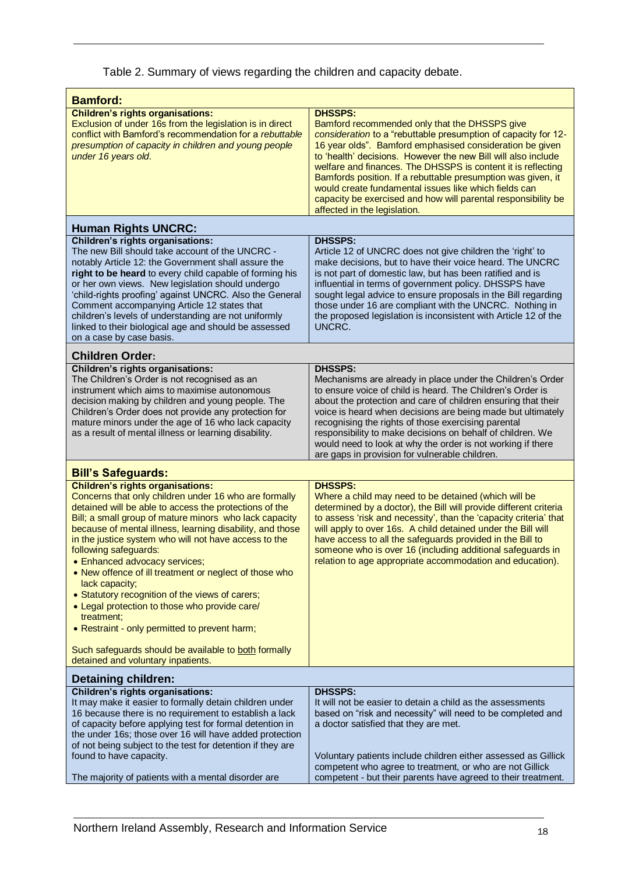Table 2. Summary of views regarding the children and capacity debate.

| <b>Bamford:</b>                                                                                                                                                                                                                                                                                                                                                                                                                                                                                                                                                                                                                                                                                             |                                                                                                                                                                                                                                                                                                                                                                                                                                                                                                                                                          |  |  |  |  |
|-------------------------------------------------------------------------------------------------------------------------------------------------------------------------------------------------------------------------------------------------------------------------------------------------------------------------------------------------------------------------------------------------------------------------------------------------------------------------------------------------------------------------------------------------------------------------------------------------------------------------------------------------------------------------------------------------------------|----------------------------------------------------------------------------------------------------------------------------------------------------------------------------------------------------------------------------------------------------------------------------------------------------------------------------------------------------------------------------------------------------------------------------------------------------------------------------------------------------------------------------------------------------------|--|--|--|--|
| <b>Children's rights organisations:</b><br>Exclusion of under 16s from the legislation is in direct<br>conflict with Bamford's recommendation for a rebuttable<br>presumption of capacity in children and young people<br>under 16 years old.                                                                                                                                                                                                                                                                                                                                                                                                                                                               | <b>DHSSPS:</b><br>Bamford recommended only that the DHSSPS give<br>consideration to a "rebuttable presumption of capacity for 12-<br>16 year olds". Bamford emphasised consideration be given<br>to 'health' decisions. However the new Bill will also include<br>welfare and finances. The DHSSPS is content it is reflecting<br>Bamfords position. If a rebuttable presumption was given, it<br>would create fundamental issues like which fields can<br>capacity be exercised and how will parental responsibility be<br>affected in the legislation. |  |  |  |  |
| <b>Human Rights UNCRC:</b>                                                                                                                                                                                                                                                                                                                                                                                                                                                                                                                                                                                                                                                                                  |                                                                                                                                                                                                                                                                                                                                                                                                                                                                                                                                                          |  |  |  |  |
| <b>Children's rights organisations:</b><br>The new Bill should take account of the UNCRC -<br>notably Article 12: the Government shall assure the<br>right to be heard to every child capable of forming his<br>or her own views. New legislation should undergo<br>'child-rights proofing' against UNCRC. Also the General<br>Comment accompanying Article 12 states that<br>children's levels of understanding are not uniformly<br>linked to their biological age and should be assessed<br>on a case by case basis.                                                                                                                                                                                     | <b>DHSSPS:</b><br>Article 12 of UNCRC does not give children the 'right' to<br>make decisions, but to have their voice heard. The UNCRC<br>is not part of domestic law, but has been ratified and is<br>influential in terms of government policy. DHSSPS have<br>sought legal advice to ensure proposals in the Bill regarding<br>those under 16 are compliant with the UNCRC. Nothing in<br>the proposed legislation is inconsistent with Article 12 of the<br>UNCRC.                                                                                  |  |  |  |  |
| <b>Children Order:</b>                                                                                                                                                                                                                                                                                                                                                                                                                                                                                                                                                                                                                                                                                      |                                                                                                                                                                                                                                                                                                                                                                                                                                                                                                                                                          |  |  |  |  |
| <b>Children's rights organisations:</b><br>The Children's Order is not recognised as an<br>instrument which aims to maximise autonomous<br>decision making by children and young people. The<br>Children's Order does not provide any protection for<br>mature minors under the age of 16 who lack capacity<br>as a result of mental illness or learning disability.                                                                                                                                                                                                                                                                                                                                        | <b>DHSSPS:</b><br>Mechanisms are already in place under the Children's Order<br>to ensure voice of child is heard. The Children's Order is<br>about the protection and care of children ensuring that their<br>voice is heard when decisions are being made but ultimately<br>recognising the rights of those exercising parental<br>responsibility to make decisions on behalf of children. We<br>would need to look at why the order is not working if there<br>are gaps in provision for vulnerable children.                                         |  |  |  |  |
| <b>Bill's Safeguards:</b>                                                                                                                                                                                                                                                                                                                                                                                                                                                                                                                                                                                                                                                                                   |                                                                                                                                                                                                                                                                                                                                                                                                                                                                                                                                                          |  |  |  |  |
| <b>Children's rights organisations:</b><br>Concerns that only children under 16 who are formally<br>detained will be able to access the protections of the<br>Bill; a small group of mature minors who lack capacity<br>because of mental illness, learning disability, and those<br>in the justice system who will not have access to the<br>following safeguards:<br>• Enhanced advocacy services;<br>• New offence of ill treatment or neglect of those who<br>lack capacity;<br>• Statutory recognition of the views of carers;<br>• Legal protection to those who provide care/<br>treatment;<br>• Restraint - only permitted to prevent harm;<br>Such safeguards should be available to both formally | <b>DHSSPS:</b><br>Where a child may need to be detained (which will be<br>determined by a doctor), the Bill will provide different criteria<br>to assess 'risk and necessity', than the 'capacity criteria' that<br>will apply to over 16s. A child detained under the Bill will<br>have access to all the safeguards provided in the Bill to<br>someone who is over 16 (including additional safeguards in<br>relation to age appropriate accommodation and education).                                                                                 |  |  |  |  |
| detained and voluntary inpatients.<br><b>Detaining children:</b>                                                                                                                                                                                                                                                                                                                                                                                                                                                                                                                                                                                                                                            |                                                                                                                                                                                                                                                                                                                                                                                                                                                                                                                                                          |  |  |  |  |
| <b>Children's rights organisations:</b><br>It may make it easier to formally detain children under<br>16 because there is no requirement to establish a lack<br>of capacity before applying test for formal detention in<br>the under 16s; those over 16 will have added protection<br>of not being subject to the test for detention if they are<br>found to have capacity.                                                                                                                                                                                                                                                                                                                                | <b>DHSSPS:</b><br>It will not be easier to detain a child as the assessments<br>based on "risk and necessity" will need to be completed and<br>a doctor satisfied that they are met.<br>Voluntary patients include children either assessed as Gillick                                                                                                                                                                                                                                                                                                   |  |  |  |  |
| The majority of patients with a mental disorder are                                                                                                                                                                                                                                                                                                                                                                                                                                                                                                                                                                                                                                                         | competent who agree to treatment, or who are not Gillick<br>competent - but their parents have agreed to their treatment.                                                                                                                                                                                                                                                                                                                                                                                                                                |  |  |  |  |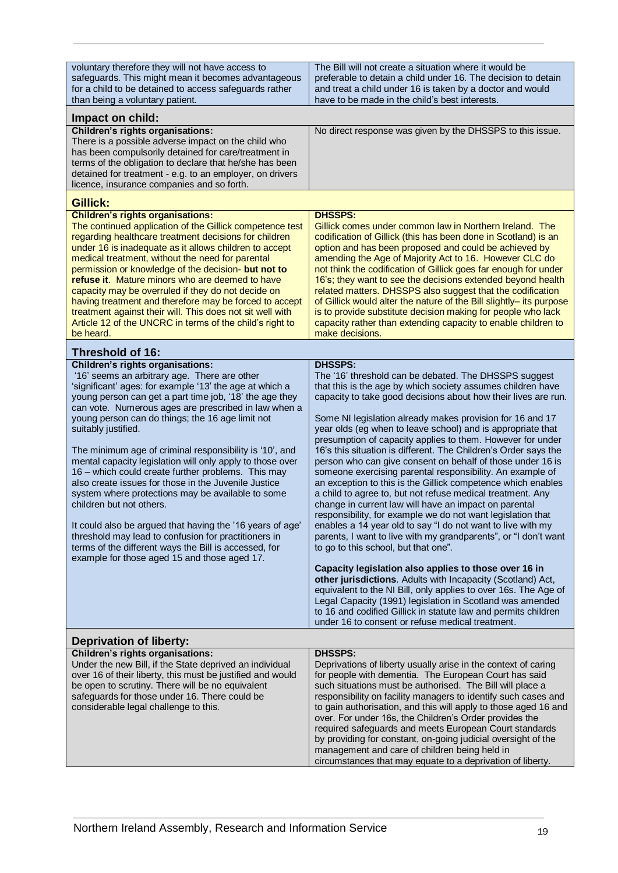| voluntary therefore they will not have access to<br>safeguards. This might mean it becomes advantageous<br>for a child to be detained to access safeguards rather<br>than being a voluntary patient.                                                                                                                                                                                                                                                                                                                                                                                                                                                                                                                                                                                                                                                                                                  | The Bill will not create a situation where it would be<br>preferable to detain a child under 16. The decision to detain<br>and treat a child under 16 is taken by a doctor and would<br>have to be made in the child's best interests.                                                                                                                                                                                                                                                                                                                                                                                                                                                                                                                                                                                                                                                                                                                                                                                                                                                                                                                                                                                                                                                                                                                                                                         |  |  |  |  |
|-------------------------------------------------------------------------------------------------------------------------------------------------------------------------------------------------------------------------------------------------------------------------------------------------------------------------------------------------------------------------------------------------------------------------------------------------------------------------------------------------------------------------------------------------------------------------------------------------------------------------------------------------------------------------------------------------------------------------------------------------------------------------------------------------------------------------------------------------------------------------------------------------------|----------------------------------------------------------------------------------------------------------------------------------------------------------------------------------------------------------------------------------------------------------------------------------------------------------------------------------------------------------------------------------------------------------------------------------------------------------------------------------------------------------------------------------------------------------------------------------------------------------------------------------------------------------------------------------------------------------------------------------------------------------------------------------------------------------------------------------------------------------------------------------------------------------------------------------------------------------------------------------------------------------------------------------------------------------------------------------------------------------------------------------------------------------------------------------------------------------------------------------------------------------------------------------------------------------------------------------------------------------------------------------------------------------------|--|--|--|--|
|                                                                                                                                                                                                                                                                                                                                                                                                                                                                                                                                                                                                                                                                                                                                                                                                                                                                                                       |                                                                                                                                                                                                                                                                                                                                                                                                                                                                                                                                                                                                                                                                                                                                                                                                                                                                                                                                                                                                                                                                                                                                                                                                                                                                                                                                                                                                                |  |  |  |  |
| Impact on child:<br><b>Children's rights organisations:</b><br>There is a possible adverse impact on the child who<br>has been compulsorily detained for care/treatment in<br>terms of the obligation to declare that he/she has been<br>detained for treatment - e.g. to an employer, on drivers<br>licence, insurance companies and so forth.                                                                                                                                                                                                                                                                                                                                                                                                                                                                                                                                                       | No direct response was given by the DHSSPS to this issue.                                                                                                                                                                                                                                                                                                                                                                                                                                                                                                                                                                                                                                                                                                                                                                                                                                                                                                                                                                                                                                                                                                                                                                                                                                                                                                                                                      |  |  |  |  |
| Gillick:                                                                                                                                                                                                                                                                                                                                                                                                                                                                                                                                                                                                                                                                                                                                                                                                                                                                                              |                                                                                                                                                                                                                                                                                                                                                                                                                                                                                                                                                                                                                                                                                                                                                                                                                                                                                                                                                                                                                                                                                                                                                                                                                                                                                                                                                                                                                |  |  |  |  |
| <b>Children's rights organisations:</b><br>The continued application of the Gillick competence test<br>regarding healthcare treatment decisions for children<br>under 16 is inadequate as it allows children to accept<br>medical treatment, without the need for parental<br>permission or knowledge of the decision- but not to<br>refuse it. Mature minors who are deemed to have<br>capacity may be overruled if they do not decide on<br>having treatment and therefore may be forced to accept<br>treatment against their will. This does not sit well with<br>Article 12 of the UNCRC in terms of the child's right to<br>be heard.                                                                                                                                                                                                                                                            | <b>DHSSPS:</b><br>Gillick comes under common law in Northern Ireland. The<br>codification of Gillick (this has been done in Scotland) is an<br>option and has been proposed and could be achieved by<br>amending the Age of Majority Act to 16. However CLC do<br>not think the codification of Gillick goes far enough for under<br>16's; they want to see the decisions extended beyond health<br>related matters. DHSSPS also suggest that the codification<br>of Gillick would alter the nature of the Bill slightly- its purpose<br>is to provide substitute decision making for people who lack<br>capacity rather than extending capacity to enable children to<br>make decisions.                                                                                                                                                                                                                                                                                                                                                                                                                                                                                                                                                                                                                                                                                                                      |  |  |  |  |
| <b>Threshold of 16:</b>                                                                                                                                                                                                                                                                                                                                                                                                                                                                                                                                                                                                                                                                                                                                                                                                                                                                               |                                                                                                                                                                                                                                                                                                                                                                                                                                                                                                                                                                                                                                                                                                                                                                                                                                                                                                                                                                                                                                                                                                                                                                                                                                                                                                                                                                                                                |  |  |  |  |
| <b>Children's rights organisations:</b><br>'16' seems an arbitrary age. There are other<br>'significant' ages: for example '13' the age at which a<br>young person can get a part time job, '18' the age they<br>can vote. Numerous ages are prescribed in law when a<br>young person can do things; the 16 age limit not<br>suitably justified.<br>The minimum age of criminal responsibility is '10', and<br>mental capacity legislation will only apply to those over<br>16 - which could create further problems. This may<br>also create issues for those in the Juvenile Justice<br>system where protections may be available to some<br>children but not others.<br>It could also be argued that having the '16 years of age'<br>threshold may lead to confusion for practitioners in<br>terms of the different ways the Bill is accessed, for<br>example for those aged 15 and those aged 17. | <b>DHSSPS:</b><br>The '16' threshold can be debated. The DHSSPS suggest<br>that this is the age by which society assumes children have<br>capacity to take good decisions about how their lives are run.<br>Some NI legislation already makes provision for 16 and 17<br>year olds (eg when to leave school) and is appropriate that<br>presumption of capacity applies to them. However for under<br>16's this situation is different. The Children's Order says the<br>person who can give consent on behalf of those under 16 is<br>someone exercising parental responsibility. An example of<br>an exception to this is the Gillick competence which enables<br>a child to agree to, but not refuse medical treatment. Any<br>change in current law will have an impact on parental<br>responsibility, for example we do not want legislation that<br>enables a 14 year old to say "I do not want to live with my<br>parents, I want to live with my grandparents", or "I don't want<br>to go to this school, but that one".<br>Capacity legislation also applies to those over 16 in<br>other jurisdictions. Adults with Incapacity (Scotland) Act,<br>equivalent to the NI Bill, only applies to over 16s. The Age of<br>Legal Capacity (1991) legislation in Scotland was amended<br>to 16 and codified Gillick in statute law and permits children<br>under 16 to consent or refuse medical treatment. |  |  |  |  |
| <b>Deprivation of liberty:</b>                                                                                                                                                                                                                                                                                                                                                                                                                                                                                                                                                                                                                                                                                                                                                                                                                                                                        |                                                                                                                                                                                                                                                                                                                                                                                                                                                                                                                                                                                                                                                                                                                                                                                                                                                                                                                                                                                                                                                                                                                                                                                                                                                                                                                                                                                                                |  |  |  |  |
| Children's rights organisations:<br>Under the new Bill, if the State deprived an individual<br>over 16 of their liberty, this must be justified and would<br>be open to scrutiny. There will be no equivalent<br>safeguards for those under 16. There could be<br>considerable legal challenge to this.                                                                                                                                                                                                                                                                                                                                                                                                                                                                                                                                                                                               | <b>DHSSPS:</b><br>Deprivations of liberty usually arise in the context of caring<br>for people with dementia. The European Court has said<br>such situations must be authorised. The Bill will place a<br>responsibility on facility managers to identify such cases and<br>to gain authorisation, and this will apply to those aged 16 and<br>over. For under 16s, the Children's Order provides the<br>required safeguards and meets European Court standards<br>by providing for constant, on-going judicial oversight of the<br>management and care of children being held in<br>circumstances that may equate to a deprivation of liberty.                                                                                                                                                                                                                                                                                                                                                                                                                                                                                                                                                                                                                                                                                                                                                                |  |  |  |  |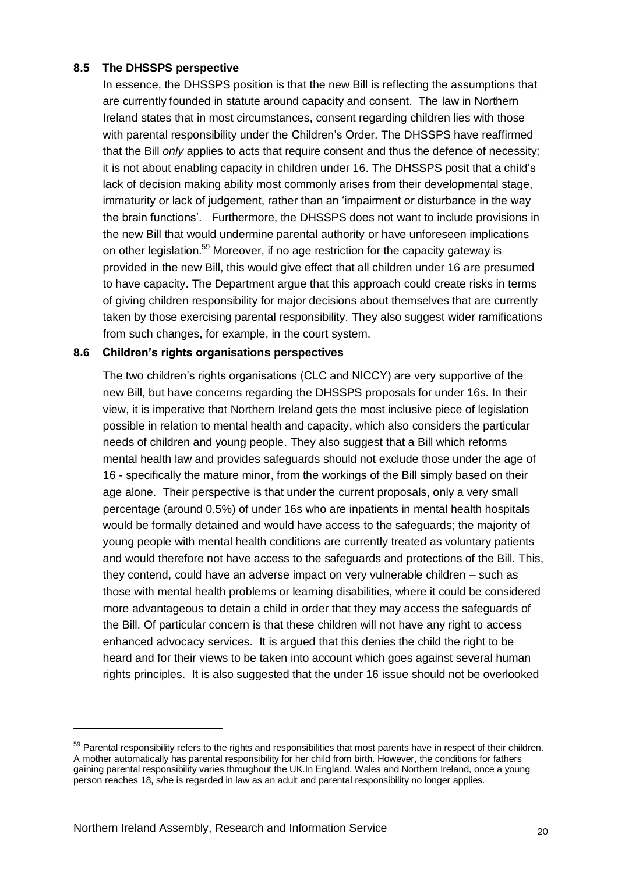#### <span id="page-19-0"></span>**8.5 The DHSSPS perspective**

In essence, the DHSSPS position is that the new Bill is reflecting the assumptions that are currently founded in statute around capacity and consent. The law in Northern Ireland states that in most circumstances, consent regarding children lies with those with parental responsibility under the Children's Order. The DHSSPS have reaffirmed that the Bill *only* applies to acts that require consent and thus the defence of necessity; it is not about enabling capacity in children under 16. The DHSSPS posit that a child's lack of decision making ability most commonly arises from their developmental stage, immaturity or lack of judgement, rather than an 'impairment or disturbance in the way the brain functions'. Furthermore, the DHSSPS does not want to include provisions in the new Bill that would undermine parental authority or have unforeseen implications on other legislation.<sup>59</sup> Moreover, if no age restriction for the capacity gateway is provided in the new Bill, this would give effect that all children under 16 are presumed to have capacity. The Department argue that this approach could create risks in terms of giving children responsibility for major decisions about themselves that are currently taken by those exercising parental responsibility. They also suggest wider ramifications from such changes, for example, in the court system.

#### <span id="page-19-1"></span>**8.6 Children's rights organisations perspectives**

The two children's rights organisations (CLC and NICCY) are very supportive of the new Bill, but have concerns regarding the DHSSPS proposals for under 16s. In their view, it is imperative that Northern Ireland gets the most inclusive piece of legislation possible in relation to mental health and capacity, which also considers the particular needs of children and young people. They also suggest that a Bill which reforms mental health law and provides safeguards should not exclude those under the age of 16 - specifically the mature minor, from the workings of the Bill simply based on their age alone. Their perspective is that under the current proposals, only a very small percentage (around 0.5%) of under 16s who are inpatients in mental health hospitals would be formally detained and would have access to the safeguards; the majority of young people with mental health conditions are currently treated as voluntary patients and would therefore not have access to the safeguards and protections of the Bill. This, they contend, could have an adverse impact on very vulnerable children – such as those with mental health problems or learning disabilities, where it could be considered more advantageous to detain a child in order that they may access the safeguards of the Bill. Of particular concern is that these children will not have any right to access enhanced advocacy services. It is argued that this denies the child the right to be heard and for their views to be taken into account which goes against several human rights principles. It is also suggested that the under 16 issue should not be overlooked

<sup>&</sup>lt;sup>59</sup> Parental responsibility refers to the rights and responsibilities that most parents have in respect of their children. A mother automatically has parental responsibility for her child from birth. However, the conditions for fathers gaining parental responsibility varies throughout the UK.In England, Wales and Northern Ireland, once a young person reaches 18, s/he is regarded in law as an adult and parental responsibility no longer applies.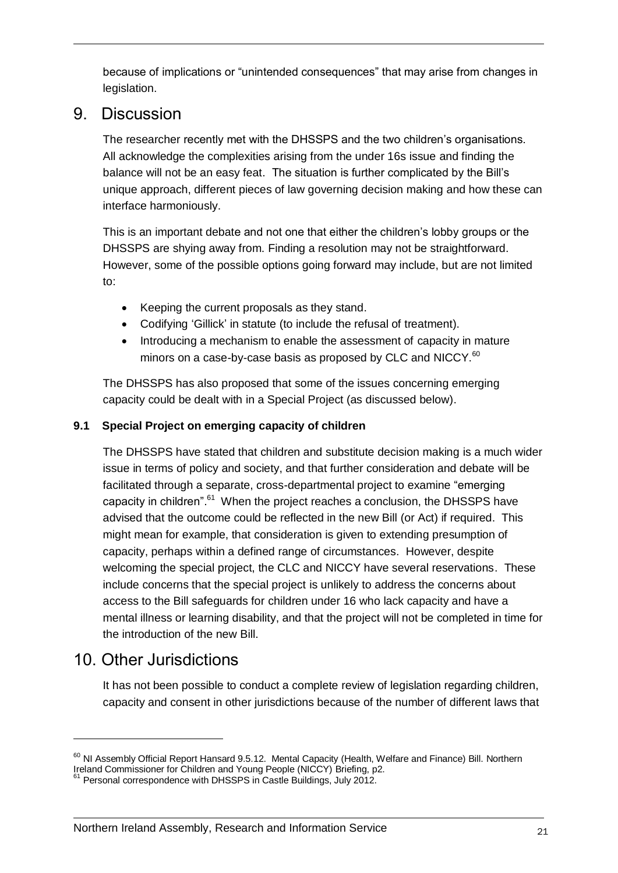because of implications or "unintended consequences" that may arise from changes in legislation.

### <span id="page-20-0"></span>9. Discussion

The researcher recently met with the DHSSPS and the two children's organisations. All acknowledge the complexities arising from the under 16s issue and finding the balance will not be an easy feat. The situation is further complicated by the Bill's unique approach, different pieces of law governing decision making and how these can interface harmoniously.

This is an important debate and not one that either the children's lobby groups or the DHSSPS are shying away from. Finding a resolution may not be straightforward. However, some of the possible options going forward may include, but are not limited to:

- Keeping the current proposals as they stand.
- Codifying 'Gillick' in statute (to include the refusal of treatment).
- Introducing a mechanism to enable the assessment of capacity in mature minors on a case-by-case basis as proposed by CLC and NICCY.<sup>60</sup>

The DHSSPS has also proposed that some of the issues concerning emerging capacity could be dealt with in a Special Project (as discussed below).

#### <span id="page-20-1"></span>**9.1 Special Project on emerging capacity of children**

The DHSSPS have stated that children and substitute decision making is a much wider issue in terms of policy and society, and that further consideration and debate will be facilitated through a separate, cross-departmental project to examine "emerging capacity in children".<sup>61</sup> When the project reaches a conclusion, the DHSSPS have advised that the outcome could be reflected in the new Bill (or Act) if required. This might mean for example, that consideration is given to extending presumption of capacity, perhaps within a defined range of circumstances. However, despite welcoming the special project, the CLC and NICCY have several reservations. These include concerns that the special project is unlikely to address the concerns about access to the Bill safeguards for children under 16 who lack capacity and have a mental illness or learning disability, and that the project will not be completed in time for the introduction of the new Bill.

### <span id="page-20-2"></span>10. Other Jurisdictions

1

It has not been possible to conduct a complete review of legislation regarding children, capacity and consent in other jurisdictions because of the number of different laws that

 $60$  NI Assembly Official Report Hansard 9.5.12. Mental Capacity (Health, Welfare and Finance) Bill. Northern Ireland Commissioner for Children and Young People (NICCY) Briefing, p2.

 $61$  Personal correspondence with DHSSPS in Castle Buildings, July 2012.